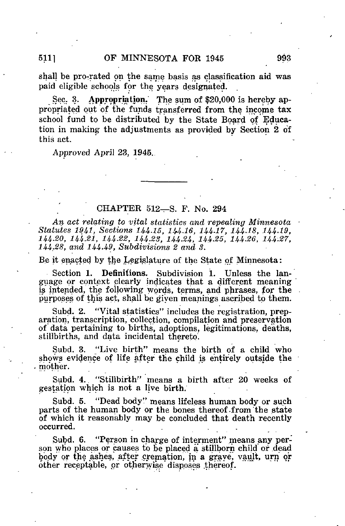shall be pro-rated on the same basis as classification aid was paid eligible schools for the years designated.

Sec. 3. Appropriation. The sum of \$20,000 is hereby appropriated out of the funds transferred from the income tax school fund to be distributed by the State Board of Education in making the adjustments as provided by Section 2 of this act.

Approved April 23, 1945..

### CHAPTER 512—S. F. No. 294

An act relating to vital statistics and repealing Minnesota Statutes 1941, Sections 144.15, 144.16, 144-17, 144-18, 144-19, 144-20, 144.21, 144.22, 144.23, 144-24, 144-25, 144-26, 144.27, 144.38, and 144-49, Subdivisions 2 and 3.

Be it enacted by the Legislature of the State of Minnesota:

Section 1. Definitions. Subdivision 1. Unless the language or context clearly indicates that a different meaning is intended, the following words, terms, and phrases, for the purposes of this act, shall be given meanings ascribed to them.

Subd. 2. "Vital statistics" includes the registration, preparation, transcription, collection, compilation and preservation of data pertaining to births, adoptions, legitimations, deaths, stillbirths, and data incidental thereto.

Subd. 3. "Live birth" means the birth of a child who shows evidence of life after the child is entirely outside the mother.

Subd. 4. "Stillbirth" means a birth after 20 weeks of gestation which is not a live birth.

Subd. 5. "Dead body" means lifeless human body or such parts of the human body or the bones thereof-from'the state of which it reasonably may be concluded that death recently occurred.

Subd. 6. "Person in charge of interment" means any person who places or causes to be placed a stillborn child or dead body or the ashes, after cremation, in a grave, vault, urn or other receptable, or otherwise'disposes .thereof.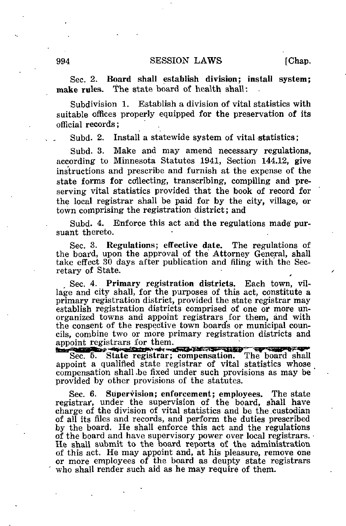Subdivision 1. Establish a division of vital statistics with suitable offices properly equipped for the preservation of its official records ;

Subd. 2. Install a statewide system of vital statistics ;

Subd. 3. Make and may amend necessary regulations, according to Minnesota Statutes 1941, Section 144.12, give instructions and prescribe and furnish at the expense of the state forms for collecting, transcribing, compiling and preserving vital statistics provided that the book of record for the local registrar shall be paid for by the city, village, or town comprising the registration district ; and

Subd. 4. Enforce this act and the regulations made' pursuant thereto.

Sec. 3. Regulations; effective date. The regulations of the board, upon the approval of the Attorney General, shall take effect 30 days after publication and filing with the Secretary of State.

Sec. 4. Primary registration districts. Each town, village and city shall, for the purposes of this act, constitute a primary registration district, provided the state registrar may establish registration districts comprised of one or more unorganized towns and appoint registrars for them, and with the consent of the respective town board's or municipal councils, combine two or more primary registration districts and appoint registrars for them.<br>Registration of the contract of the contract of the contract of the contract of the contract of the contract of

Sec. 5. State registrar; compensation. The board shall appoint a qualified state registrar of vital statistics whose compensation shall .be fixed under such provisions as may be provided by other provisions of the statutes.

Sec. 6. Supervision; enforcement; employees. The state registrar, under the supervision of the board, shall have charge of the division of vital statistics and be the custodian of all its files and records, and perform the duties prescribed by the board. He shall enforce this act and the regulations of the board and have supervisory power over local registrars. He shall submit to the board reports of the administration of this act. He may appoint and, at his pleasure, remove one or more employees of the board as deupty state registrars who shall render such aid as he may require of them.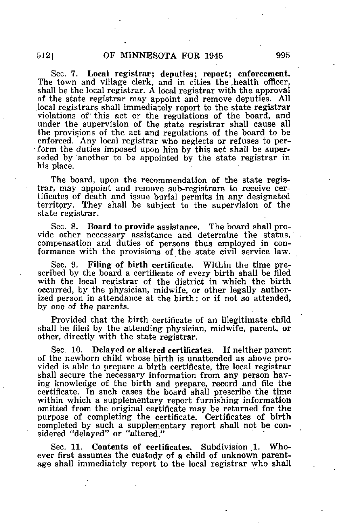Sec. 7. Local registrar; deputies; report; enforcement. The town and village clerk, and in cities the .health officer, shall be the local registrar. A local registrar with the approval of the state registrar may appoint and remove deputies. All .local registrars shall immediately report to the state registrar violations of this act or the regulations of the board, and under the supervision of the state registrar shall cause all the provisions of the act and regulations of the board to be enforced. Any local registrar who neglects or refuses to perform the duties imposed upon him by this act shall be superseded by another to be appointed by the state registrar in his place.

The board, upon the recommendation of the state registrar, may appoint and remove sub-registrars to receive certificates of death and issue burial permits in any designated territory. They shall be subject to the supervision of the state registrar.

Sec. 8. Board to provide assistance. The board shall provide other necessary assistance and determine the status,' compensation and duties of persons thus employed in conformance with the provisions of the state civil service law.

Sec. 9. Filing of birth certificate. Within the time prescribed by the board a certificate of every birth shall be filed with the local registrar of the district in which the birth occurred, by the physician, midwife, or other legally authorized person in attendance at the birth; or if not so attended, by one of the parents.

Provided that the birth certificate of an illegitimate child shall be filed by the attending physician, midwife, parent, or other, directly with the state registrar.

Sec. 10. Delayed or altered certificates. If neither parent of the newborn child whose birth is unattended as above provided is able to prepare a birth certificate, the local registrar shall secure the necessary information from any person having knowledge of the birth and prepare, record and file the certificate. In such cases the board shall prescribe the time within which a supplementary report furnishing information omitted from the original certificate may be returned for the purpose of completing the certificate. Certificates of birth completed by such a supplementary report shall not be considered "delayed" or "altered."

Sec. 11. Contents of certificates. Subdivision 1. Whoever first assumes the custody of a child of unknown parentage shall immediately report to the local registrar who shall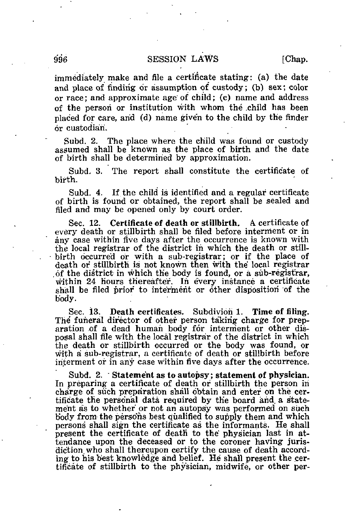immediately make and file a certificate stating: (a) the date and place of finding or assumption of custody; (b) sex; color or race; and approximate age of child; (c) name and address of the person or institution with whom the .child has been placed for care, arid (d) name give'n to the child by the finder or custodian.

Subd. 2. The place where the child was found or custody assumed shall be known as the place of birth and the date of birth shall be determined by approximation.

Subd. 3. The report shall constitute the certificate of birth.

Subd. 4. If the child is identified and a regular certificate of birth is found or obtained, the report shall be sealed and filed and may be opened only by court order.

Sec. 12. Certificate of death or stillbirth. A certificate of every death or stillbirth shall be filed before interment or in any case within five days after the occurrence is known with the local registrar of the district in which the death or stillbirth occurred or with a sub-registrar; or if the place of death or stillbirth is not known then with the local registrar . of the district in which the body is found, or a sub-registrar, within 24 hours thereafter. In every instance a certificate shall be filed prior to interment or other disposition of the body.

Sec. 13. Death certificates. Subdiyion 1. Time of filing. The funeral director of other person taking charge for preparation of a dead human body for interment or other disposal shall file with the local registrar of the district in which the death or stillbirth occurred or the body was found, or with a sub-registrar, a certificate of death or stillbirth before interment or in any case within five days after the occurrence.

Subd. 2. Statement as to autopsy; statement of physician. In preparing a certificate of death or stillbirth the person in charge of such preparation shall obtain and enter on the certificate the personal data required by the board and a statement as to whether' or not an autopsy was performed on such body from the persons best qualified to supply them and which persons shall sign the certificate as the informants. He shall present the certificate of death to the physician last in attendance upon the deceased or to the coroner having jurisdiction who shall thereupon certify the cause of death according to his best knowledge and belief. He shall present the certificate of stillbirth to the physician, midwife, or other per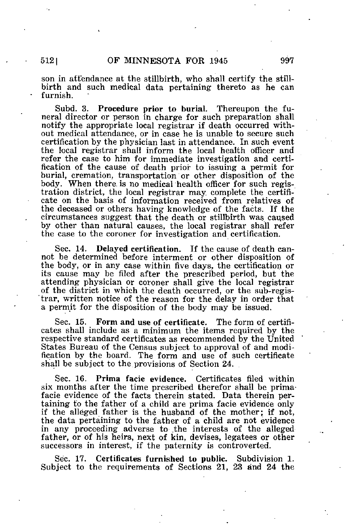son in attendance at the stillbirth, who shall certify the stillbirth and such medical data pertaining thereto as he can furnish.

Subd. 3. Procedure prior to burial. Thereupon the funeral director or person in charge for such preparation shall notify the appropriate local registrar if death occurred without medical attendance, or in case he is unable to secure such certification by the physician last in attendance. In such event the local registrar shall inform the local health officer and refer the case to him for immediate investigation and certification of the cause of death prior to issuing a permit for burial, cremation, transportation or other disposition of the body. When there, is no medical health officer for such registration district, the local registrar may complete the certificate on the basis of information received from relatives of the deceased or others having knowledge of the facts. If the circumstances suggest that the death or stillbirth was caused by other than natural causes, the local registrar shall refer the case to the coroner for investigation and certification.

Sec. 14. Delayed certification. If the cause of death cannot be determined before interment or other disposition of the body, or in any case within five days, the certification or its cause may be filed after the prescribed period, but the attending physician or coroner shall give the local registrar of the district in which the death occurred, or the sub-regis trar, written notice of the reason for the delay in order that a permit for the disposition of the body may be issued.

Sec. 15. Form and use of certificate. The form of certificates shall include as a minimum the items required by the respective standard certificates as recommended by the United States Bureau of the Census subject to approval of and modification by the board. The form and use of such certificate shall be subject to the provisions of Section 24.

Sec. 16. Prima facie evidence. Certificates filed within six months after the time prescribed therefor shall be primafacie evidence of the facts therein stated. Data therein pertaining to the father of a child are prima facie evidence only if the alleged father is the husband of the mother; if not, the data pertaining to the father of a child are not evidence in any proceeding adverse to .the interests of the alleged father, or of his heirs, next of kin, devises, legatees or other successors in interest, if the paternity is controverted.

Sec. 17. Certificates furnished to public. Subdivision 1. Subject to the requirements of Sections 21, 23 and 24 the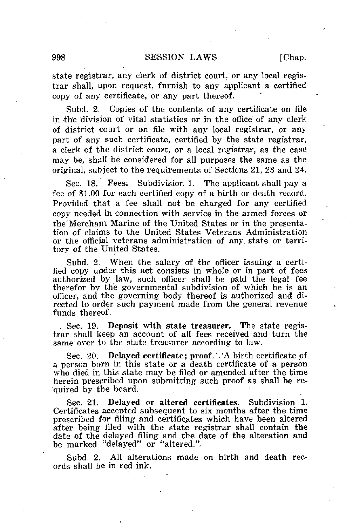state registrar, any clerk of district court, or any local registrar shall, upon request, furnish to any applicant a certified copy of any certificate, or any part thereof.

Subd. 2. Copies of the contents of any certificate on file in the division of vital statistics or in the office of any clerk of district court or on file with any local registrar, or any part of any such certificate, certified by the state registrar, a clerk of the district court, or a local registrar, as the case may be, shall be considered for all purposes the same as the original, subject to the requirements of Sections 21, 23 and 24.

Sec. 18. Fees. Subdivision 1. The applicant shall pay a fee of \$1.00 for each certified copy of a birth or death record. Provided that a fee shall not be charged for any certified copy needed in connection with service in the armed forces or the'Merchant Marine of the United States or in the presentation of claims to the United States Veterans Administration or the official veterans administration of any. state or territory of the United States.

Subd. 2. When the salary of the officer issuing a certified copy under this act consists in whole or in part of fees authorized by law, such officer shall be paid the legal fee therefor by the governmental subdivision of which he is an officer, and the governing body thereof is authorized and directed to order such payment made from the general revenue funds thereof.

. Sec. 19. Deposit with state treasurer. The state registrar shall keep an account of all fees received and turn the same over to the state treasurer according to law.

Sec. 20. Delayed certificate; proof. .'A birth certificate of a person born in this state or a death certificate of a person who died in this state may be filed or amended after the time herein prescribed upon submitting such proof as shall be re quired by the board.

Sec. 21. Delayed or altered certificates. Subdivision 1. Certificates accepted subsequent to six months after the time prescribed for filing and certificates which have been altered after being filed with the state registrar shall contain the date of the delayed filing and the date of the alteration and be marked "delayed" or "altered.".

Subd. 2. All alterations made on birth and death records shall be in red ink.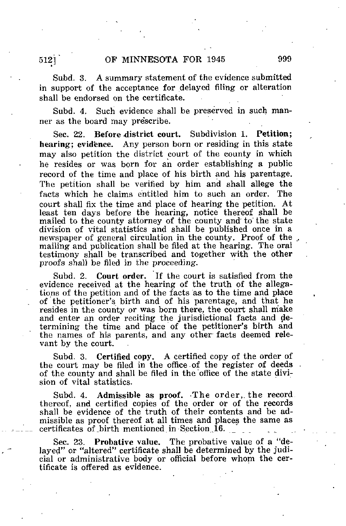Subd. 3. A summary statement of the evidence submitted in support of the acceptance for delayed filing or alteration shall be endorsed on the certificate.

Subd. 4, Such evidence shall be preserved in such manner as the board may prescribe.

Sec. 22. Before district court. Subdivision 1. Petition; hearing; evidence. Any person born or residing in this state may also petition the district court of the county in which he resides or was born for an order establishing a public record of the time and place of his birth and his parentage. The petition shall be verified by him and shall allege the facts which he claims entitled him to such an order. The court shall fix the time and place of hearing the petition. At least ten days before the hearing, notice thereof shall be mailed to the county attorney of the county and to the state division of vital statistics and shall be published once in a newspaper of general circulation in the county. Proof of the mailing and publication shall be filed at the hearing. The oral testimony shall be transcribed and together with the other proofs shall be filed in the proceeding.

Subd. 2. Court order. If the court is satisfied from the evidence received at the hearing of the truth of the allegations of the petition and of the facts as to the time and place of the petitioner's birth and of his parentage, and that he resides in the county or was born there, the court shall make and enter an order reciting the jurisdictional facts and determining the time and place of the petitioner's birth and the names of his parents, and any other- facts deemed relevant by the court.

Subd. 3. Certified copy. A certified copy of the order of the court may be filed in the office of the register of deeds. of the county and shall be filed in the 'office of the state division of vital statistics.

Subd. 4. Admissible as proof. The order, the record. thereof, and certified copies of the order or of the records shall be evidence of the truth of their contents and be admissible as proof thereof at all times and places the same as certificates of .birth mentioned in-Section 16.

Sec. 23. Probative value. The probative value of a "delayed" or "altered" certificate shall be determined by the judicial or administrative body or official before whom the certificate is offered as evidence.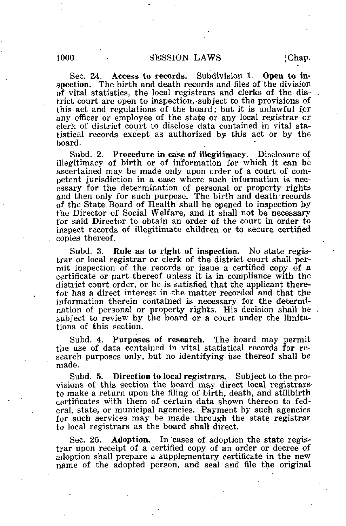Sec. 24. Access to records. Subdivision 1. Open to inspection. The birth and death records and files of the division of vital statistics, the local registrars and clerks of the district court are open to inspection,-subject to the provisions of this act and regulations of the board; but it is unlawful for any officer or employee of the state or any local registrar or clerk of district court to disclose data contained in vital statistical records except as authorized by this act or by the board.

Subd. 2. Procedure in case of illegitimacy. Disclosure of illegitimacy of birth or of information for-which it can be ascertained may be made only upon order of a court of competent jurisdiction in a case where such information is necessary for the. determination of personal or property rights and then only for such purpose. The birth and death'records of the State Board of Health shall be opened to inspection by the Director of Social Welfare, and it shall not be necessary for said Director to obtain an order of the court in order to inspect records of illegitimate children or to secure certified copies thereof.

Subd. 3. Rule as to right of inspection. No state registrar or local registrar or clerk of the district court shall permit inspection of the records or. issue a certified copy of a certificate or part thereof unless it is in compliance with the district court order, or he is satisfied that the applicant therefor has a direct interest in the matter recorded and that the information therein contained is necessary for the determination of personal or property rights. His decision shall be subject to review by the board or a court under the limitations of this section.

Subd. 4. Purposes of research. The board may permit the use of data contained in vital statistical records for research purposes only, but no identifying use thereof shall be made.

Subd. 5. Direction to local registrars. Subject to the provisions of this section the board may direct local registrars to make a return upon the filing of birth, death, and stillbirth certificates with them of certain data shown thereon to federal, state, or municipal agencies. Payment by such agencies for such services may be made through the state registrar to local registrars as the board shall direct.

Sec. 25. Adoption. In cases of adoption the state registrar upon receipt of a certified copy of an order or decree of adoption shall prepare a supplementary certificate in the new name of the adopted person, and seal and file the original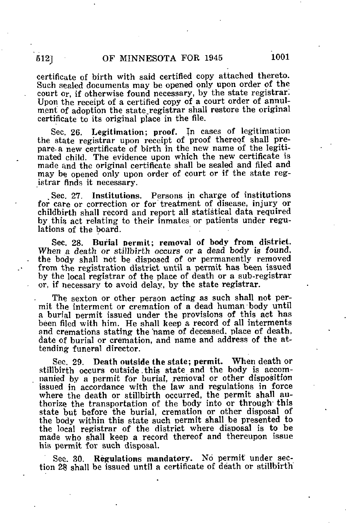certificate of birth with said certified copy attached thereto. Such sealed documents may be opened only upon order of the court or, if otherwise found necessary, by the state registrar. Upon the receipt of a certified copy of a court order of annulment of adoption the state.registrar shall restore the original certificate to its original place in the file.

Sec. 26. Legitimation; proof. In cases of legitimation the state registrar upon receipt of proof thereof shall prepare-a new certificate of birth in the new name of the legitimated child. The evidence upon which the new certificate is made and the original certificate shall be sealed and filed and may be opened only upon order of court or if the state registrar finds it necessary.

. Sec. 27. Institutions. Persons in charge of institutions for care or correction or for treatment of disease, injury or childbirth shall record and report all statistical data required by.this act relating to their inmates or patients under regulations of the board.

Sec. 28. Burial permit; removal of body from district. When a death or stillbirth occurs or a dead body is found, the body shall not be disposed of or permanently removed from the registration district until a permit has been issued by the local registrar of the place of death or a sub-registrar or, if necessary to avoid delay, by the state registrar.

The sexton or other person acting as such shall not permit the interment or cremation of a dead human "body until a burial permit issued under the provisions of this act has been filed with him. He shall keep a record of all interments and cremations stating the name of deceased, place of death, date of burial or cremation, and name and address of the attending funeral director.

Sec. 29. Death outside the state; permit. When death or stillbirth occurs outside. this state and the body is accompanied by a permit for burial, removal or other disposition issued in accordance with the law and regulations in force where the death or stillbirth occurred, the permit shall authorize the transportation of the body into or through' this state but before the burial, cremation or other disposal of the body within this state such permit shall be presented to the local registrar of the district where disposal is to be made who shall keep a record thereof and thereupon issue his permit for such disposal.

Sec. 30. Regulations mandatory. No permit under section 28 shall be issued until a certificate of death or stillbirth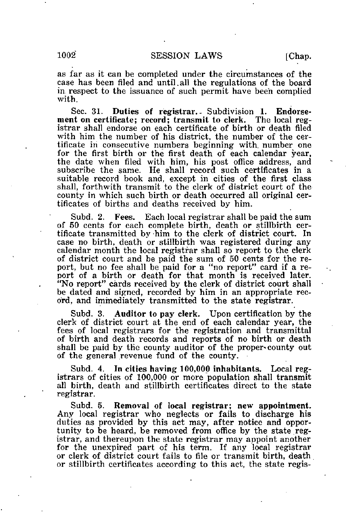as far as it can be completed under the circumstances of the case has been filed and until.all the regulations of the board in respect to the issuance of such permit have been complied with.

Sec. 31. Duties of registrar. Subdivision 1. Endorsement on certificate; record; transmit to clerk. The local registrar shall endorse on each certificate of birth or death filed with him the number of his district, the number of the certificate in consecutive numbers beginning with, number one for the first birth or the first death of each calendar year, the date when filed with him, his post office address, and subscribe the same. He shall record such certificates in a suitable record book and, except in cities of the first class shall, forthwith transmit to the clerk of district court of the county in which such birth or death occurred all original certificates of births and deaths received by him.

Subd. 2. Fees. Each local registrar shall be paid the sum of 50 cents for each complete birth, death or stillbirth certificate transmitted by -him to the clerk of district court. In case no birth, death or stillbirth was registered during any calendar month the local registrar shall so report to the clerk of district court and be paid the sum of 50 cents for the report, but no fee shall be paid for a "no report" card if a report of a birth or death for that month is received later. "No report" cards received by the clerk of district court shall be dated and signed, recorded by him in an appropriate record, and immediately transmitted to the state registrar.

Subd. 3. Auditor to pay clerk. Upon certification by the clerk of district court at the end of each calendar year, the fees of local registrars for the registration and transmittal of birth and death records and reports of no birth or death shall be paid by the county auditor of the proper-county out of the general revenue fund of the county.

Subd. 4. In cities having 100,000 inhabitants. Local registrars of cities of 100,000 or more population shall transmit all birth, death and stillbirth certificates direct to the state registrar.

Subd. 5. Removal of local registrar; new appointment. Any local registrar who neglects or fails to discharge his duties as provided by this act may, after notice and opportunity to be heard, be removed from office by the state registrar, and thereupon the state registrar may appoint another for the unexpired part of his term. If any local registrar or clerk of district court fails to file or transmit birth, death or stillbirth certificates according to this act, the state regis-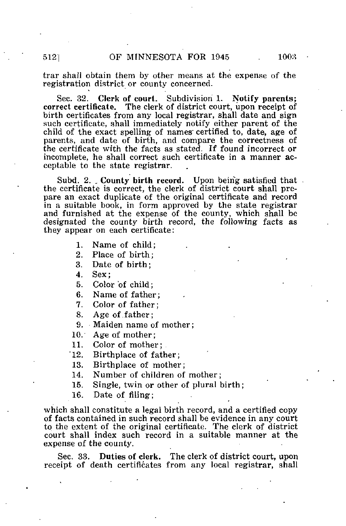trar shall obtain them by other means at the expense of the registration district or county concerned.

Sec. 32. Clerk of court. Subdivision 1. Notify parents; correct certificate. The clerk of district court, upon receipt of birth certificates from any local registrar, shall date and sign such certificate, shall immediately notify either parent of the child of the exact spelling of names certified to, date, age of parents, and date of birth, and compare the correctness of the certificate with the facts as stated. If found incorrect or incomplete, he shall correct such certificate in a manner acceptable to the state registrar.

Subd. 2. . County birth record. Upon being satisfied that the certificate is correct, the clerk of district court shall prepare an exact duplicate of the original certificate and record in a suitable book, in form approved by the state registrar and furnished at the expense of the county, which shall be designated the county birth record, the following; facts as they appear on each certificate:

- 1. Name of child;
- 2. Place of birth;
- 3. Date of birth;
- 4. Sex;
- 5. Color 'of child;
- 6. Name of father;
- 7. Color of father;
- 8. Age of father;
- 9. Maiden name of mother;
- 10. Age of mother;
- 11. Color of mother;
- 12. Birthplace of father;
- 13. Birthplace of mother;<br>14. Number of children of
- Number of children of mother;
- 15. Single, twin or other of plural birth;

16. Date of filing;

which shall constitute a legal birth record, and a certified copy of facts contained in such record shall be evidence in any court to the extent of the original certificate. The clerk of district court shall index such record in a suitable manner at the expense of the county.

Sec. 33. Duties of clerk. The clerk of district court, upon receipt of death certificates from any local registrar, shall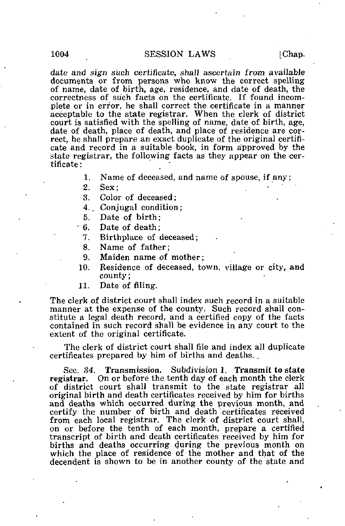date and sign such certificate, shall ascertain from available documents or from persons who know the correct spelling of name, date of birth, age, residence, and date of death, the correctness of such facts on the certificate. If found incomplete or in error, he shall correct the certificate in a manner acceptable to the state registrar. When the clerk of district court is satisfied with the spelling of name, date of birth, age, date of death, place of death, and place of residence are correct, he shall prepare an exact duplicate of the original certificate and record in a suitable book, in form approved by the state registrar, the following facts as they appear on the certificate :

1. Name of deceased, and name of spouse, if any;

2. Sex;  $\cdots$  '  $\cdots$  '

3. Color of deceased;

4., Conjugal condition;

5. Date of birth;

6. Date of death;

7. Birthplace of deceased;

8. Name of father;

9. Maiden name of mother;

- 10. Residence of deceased, town, village or city, and county;
- 11. Date of filing.

The clerk of district court shall index such record in a suitable manner at the expense of the county. Such record shall constitute a legal death record, and a certified copy of the facts contained in such record shall be evidence in any court to the extent of the original certificate.

The clerk of district court shall file and index all duplicate certificates prepared by him of births and deaths. .

Sec. 34. Transmission. Subdivision 1. Transmit to state registrar. On or before the tenth day of each month the clerk of district court shall transmit to the state registrar all original birth and death certificates received by him for births and deaths which occurred during the previous month, and certify the number of birth and death' certificates received from each local registrar. The clerk of district court shall, on or before the tenth of each month, prepare a certified transcript of birth and death certificates received by him for births and deaths occurring during the previous month on which the place of residence of the mother and that of the decendent is shown to be in another county of the state and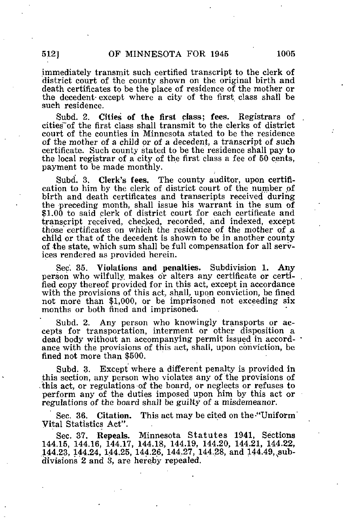immediately transmit such certified transcript to the clerk of district court of the county shown on the original birth and death certificates to be the place of residence of the mother or the decedent- except where a city of the first class shall be such residence.

Subd. 2. Cities of the first class; fees. Registrars of cities~of the first class shall transmit to the clerks of district court of the counties in Minnesota stated to be the residence of the mother of a child or of a decedent, a transcript of such certificate. Such county stated to be the residence shall pay to the local registrar of a city of the first class a fee of 50 cents, payment to be made monthly.

Subd. 3. Clerk's fees. The county auditor, upon certification to him by the clerk of district court of the number of birth and death certificates and transcripts received during the preceding month, shall issue his warrant in the sum of  $$1.00$  to said clerk of district court for each certificate and transcript received, checked, recorded, and indexed, except those certificates on which the residence of the mother of a child or that of the decedent is shown to be in another county of the state, which sum shall be full compensation for all services rendered as provided herein.

Sec. 35. Violations and penalties. Subdivision 1. Any person who wilfully makes or alters any certificate or certified copy thereof provided for in this act, except in accordance with the provisions of this act, shall, upon conviction, be fined not more than \$1,000, or be imprisoned not exceeding six months or both fined and imprisoned.

Subd. 2. Any person who knowingly transports or accepts for transportation, interment or other disposition a dead body without an accompanying permit issued in accordance with the provisions of this act, shall, upon conviction, be fined not more than \$500.

Subd. 3. Except where a different penalty is provided in this section, any person who violates any of the provisions of .'this act, or regulations-of the board, or neglects or refuses to perform any of the duties imposed upon him by this act or regulations of the board shall be guilty of a misdemeanor.

Sec. 36. Citation. This act may be cited on the "Uniform" Vital Statistics Act".

Sec. 37. Repeals. Minnesota Statutes 1941, Sections 144.15, 144.16, 144.17, 144.18, 144.19, 144.20, 144.21, 144.22, 144.23, 144.24, 144.25, 144.26, 144.27, 144.28, and 144.49, subdivisions 2 and 3, are hereby repealed.